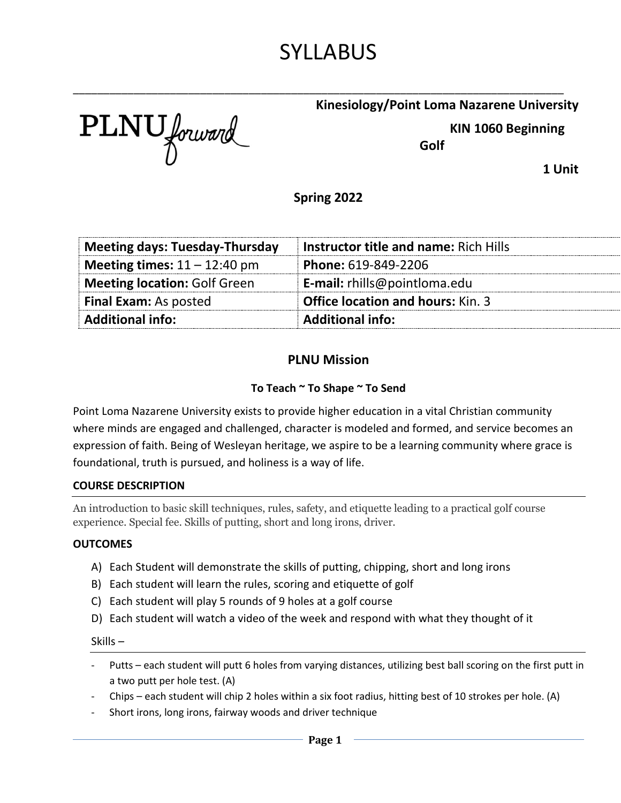# SYLLABUS

\_\_\_\_\_\_\_\_\_\_\_\_\_\_\_\_\_\_\_\_\_\_\_\_\_\_\_\_\_\_\_\_\_\_\_\_\_\_\_\_\_\_\_\_\_\_\_\_\_\_\_\_\_\_\_\_\_\_\_\_\_\_\_\_\_\_\_\_\_\_\_\_\_\_\_\_\_\_\_\_\_

PLNU forward

### **Kinesiology/Point Loma Nazarene University**

 **KIN 1060 Beginning** 

**Golf**

**1 Unit**

**Spring 2022**

| <b>Meeting days: Tuesday-Thursday</b> | <b>Instructor title and name: Rich Hills</b> |  |
|---------------------------------------|----------------------------------------------|--|
| Meeting times: $11 - 12:40$ pm        | Phone: 619-849-2206                          |  |
| <b>Meeting location: Golf Green</b>   | <b>E-mail:</b> rhills@pointloma.edu          |  |
| <b>Final Exam: As posted</b>          | <b>Office location and hours: Kin. 3</b>     |  |
| <b>Additional info:</b>               | <b>Additional info:</b>                      |  |

### **PLNU Mission**

### **To Teach ~ To Shape ~ To Send**

Point Loma Nazarene University exists to provide higher education in a vital Christian community where minds are engaged and challenged, character is modeled and formed, and service becomes an expression of faith. Being of Wesleyan heritage, we aspire to be a learning community where grace is foundational, truth is pursued, and holiness is a way of life.

### **COURSE DESCRIPTION**

An introduction to basic skill techniques, rules, safety, and etiquette leading to a practical golf course experience. Special fee. Skills of putting, short and long irons, driver.

#### **OUTCOMES**

- A) Each Student will demonstrate the skills of putting, chipping, short and long irons
- B) Each student will learn the rules, scoring and etiquette of golf
- C) Each student will play 5 rounds of 9 holes at a golf course
- D) Each student will watch a video of the week and respond with what they thought of it

#### Skills –

- Putts each student will putt 6 holes from varying distances, utilizing best ball scoring on the first putt in a two putt per hole test. (A)
- Chips each student will chip 2 holes within a six foot radius, hitting best of 10 strokes per hole. (A)
- Short irons, long irons, fairway woods and driver technique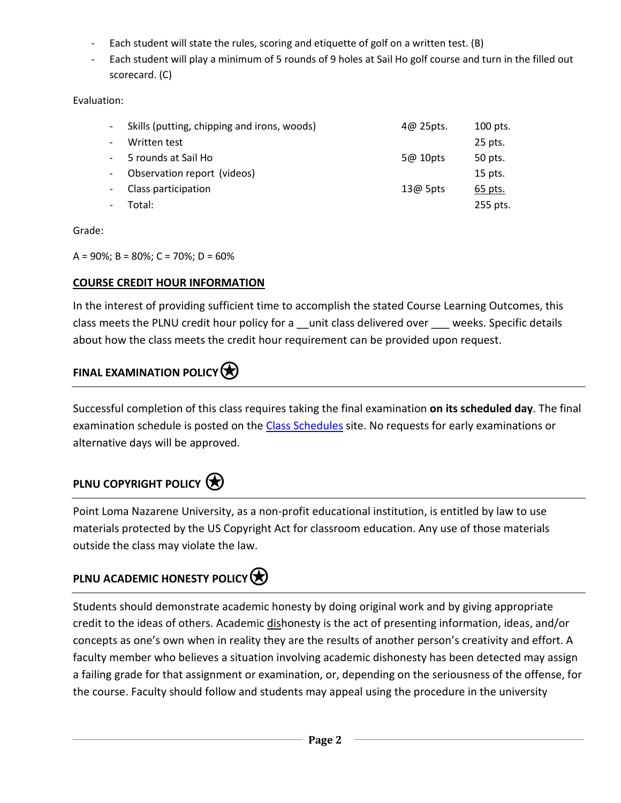- Each student will state the rules, scoring and etiquette of golf on a written test. (B)
- Each student will play a minimum of 5 rounds of 9 holes at Sail Ho golf course and turn in the filled out scorecard. (C)

Evaluation:

| Skills (putting, chipping and irons, woods) | 4@25pts.   | 100 pts. |
|---------------------------------------------|------------|----------|
| Written test                                |            | 25 pts.  |
| 5 rounds at Sail Ho                         | 5@10pts    | 50 pts.  |
| Observation report (videos)                 |            | 15 pts.  |
| Class participation                         | $13@$ 5pts | 65 pts.  |
| Total:                                      |            | 255 pts. |

Grade:

A = 90%; B = 80%; C = 70%; D = 60%

### **COURSE CREDIT HOUR INFORMATION**

In the interest of providing sufficient time to accomplish the stated Course Learning Outcomes, this class meets the PLNU credit hour policy for a \_\_unit class delivered over \_\_\_ weeks. Specific details about how the class meets the credit hour requirement can be provided upon request.

# **FINAL EXAMINATION POLICY**

Successful completion of this class requires taking the final examination **on its scheduled day**. The final examination schedule is posted on the [Class Schedules](http://www.pointloma.edu/experience/academics/class-schedules) site. No requests for early examinations or alternative days will be approved.

### **PLNU COPYRIGHT POLICY**

Point Loma Nazarene University, as a non-profit educational institution, is entitled by law to use materials protected by the US Copyright Act for classroom education. Any use of those materials outside the class may violate the law.

# **PLNU ACADEMIC HONESTY POLICY**

Students should demonstrate academic honesty by doing original work and by giving appropriate credit to the ideas of others. Academic dishonesty is the act of presenting information, ideas, and/or concepts as one's own when in reality they are the results of another person's creativity and effort. A faculty member who believes a situation involving academic dishonesty has been detected may assign a failing grade for that assignment or examination, or, depending on the seriousness of the offense, for the course. Faculty should follow and students may appeal using the procedure in the university